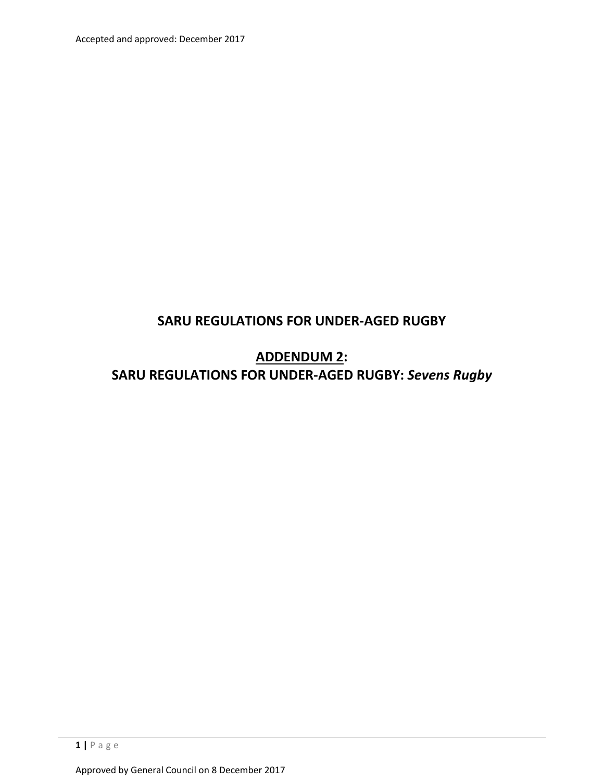Accepted and approved: December 2017

## **SARU REGULATIONS FOR UNDER‐AGED RUGBY**

**ADDENDUM 2: SARU REGULATIONS FOR UNDER‐AGED RUGBY:** *Sevens Rugby*